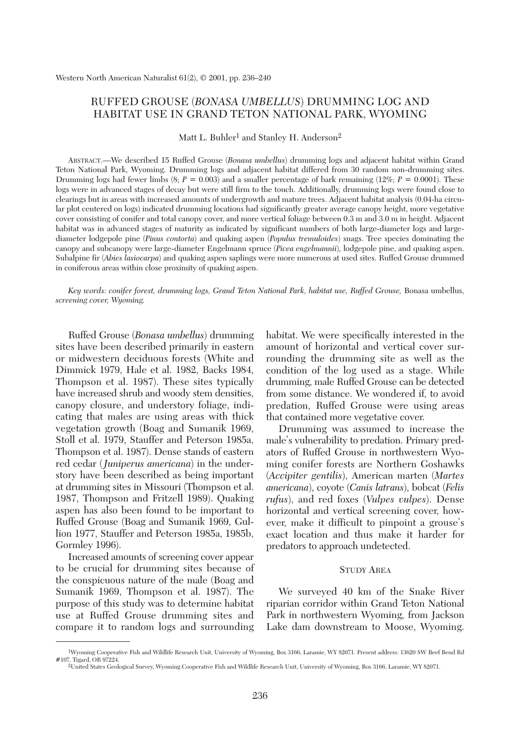# RUFFED GROUSE (*BONASA UMBELLUS*) DRUMMING LOG AND HABITAT USE IN GRAND TETON NATIONAL PARK, WYOMING

Matt L. Buhler<sup>1</sup> and Stanley H. Anderson<sup>2</sup>

ABSTRACT.—We described 15 Ruffed Grouse (*Bonasa umbellus*) drumming logs and adjacent habitat within Grand Teton National Park, Wyoming. Drumming logs and adjacent habitat differed from 30 random non-drumming sites. Drumming logs had fewer limbs  $(8; P = 0.003)$  and a smaller percentage of bark remaining  $(12\%; P = 0.0001)$ . These logs were in advanced stages of decay but were still firm to the touch. Additionally, drumming logs were found close to clearings but in areas with increased amounts of undergrowth and mature trees. Adjacent habitat analysis (0.04-ha circular plot centered on logs) indicated drumming locations had significantly greater average canopy height, more vegetative cover consisting of conifer and total canopy cover, and more vertical foliage between 0.3 m and 3.0 m in height. Adjacent habitat was in advanced stages of maturity as indicated by significant numbers of both large-diameter logs and largediameter lodgepole pine (*Pinus contorta*) and quaking aspen (*Populus tremuloides*) snags. Tree species dominating the canopy and subcanopy were large-diameter Engelmann spruce (*Picea engelmannii*), lodgepole pine, and quaking aspen. Subalpine fir (*Abies lasiocarpa*) and quaking aspen saplings were more numerous at used sites. Ruffed Grouse drummed in coniferous areas within close proximity of quaking aspen.

*Key words: conifer forest, drumming logs, Grand Teton National Park, habitat use, Ruffed Grouse,* Bonasa umbellus, *screening cover, Wyoming.*

Ruffed Grouse (*Bonasa umbellus*) drumming sites have been described primarily in eastern or midwestern deciduous forests (White and Dimmick 1979, Hale et al. 1982, Backs 1984, Thompson et al. 1987). These sites typically have increased shrub and woody stem densities, canopy closure, and understory foliage, indicating that males are using areas with thick vegetation growth (Boag and Sumanik 1969, Stoll et al. 1979, Stauffer and Peterson 1985a, Thompson et al. 1987). Dense stands of eastern red cedar (*Juniperus americana*) in the understory have been described as being important at drumming sites in Missouri (Thompson et al. 1987, Thompson and Fritzell 1989). Quaking aspen has also been found to be important to Ruffed Grouse (Boag and Sumanik 1969, Gullion 1977, Stauffer and Peterson 1985a, 1985b, Gormley 1996).

Increased amounts of screening cover appear to be crucial for drumming sites because of the conspicuous nature of the male (Boag and Sumanik 1969, Thompson et al. 1987). The purpose of this study was to determine habitat use at Ruffed Grouse drumming sites and compare it to random logs and surrounding habitat. We were specifically interested in the amount of horizontal and vertical cover surrounding the drumming site as well as the condition of the log used as a stage. While drumming, male Ruffed Grouse can be detected from some distance. We wondered if, to avoid predation, Ruffed Grouse were using areas that contained more vegetative cover.

Drumming was assumed to increase the male's vulnerability to predation. Primary predators of Ruffed Grouse in northwestern Wyoming conifer forests are Northern Goshawks (*Accipiter gentilis*), American marten (*Martes americana*), coyote (*Canis latrans*), bobcat (*Felis rufus*), and red foxes (*Vulpes vulpes*). Dense horizontal and vertical screening cover, however, make it difficult to pinpoint a grouse's exact location and thus make it harder for predators to approach undetected.

### STUDY AREA

We surveyed 40 km of the Snake River riparian corridor within Grand Teton National Park in northwestern Wyoming, from Jackson Lake dam downstream to Moose, Wyoming.

<sup>1</sup>Wyoming Cooperative Fish and Wildlife Research Unit, University of Wyoming, Box 3166, Laramie, WY 82071. Present address: 13620 SW Beef Bend Rd #107, Tigard, OR 97224.

<sup>2</sup>United States Geological Survey, Wyoming Cooperative Fish and Wildlife Research Unit, University of Wyoming, Box 3166, Laramie, WY 82071.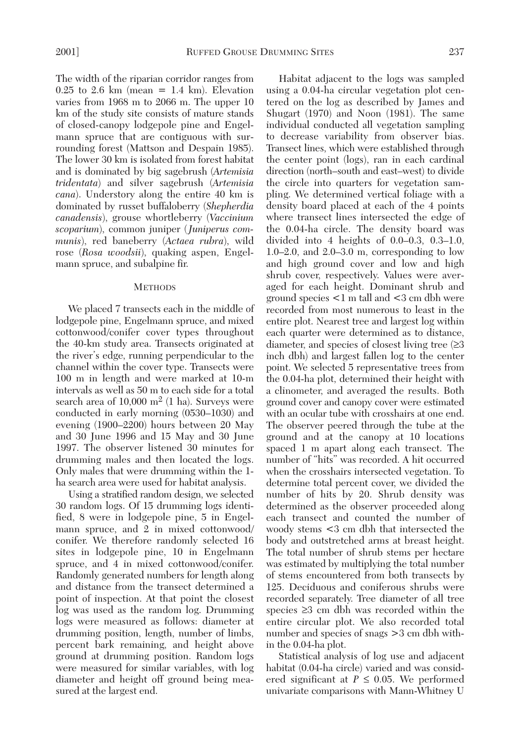The width of the riparian corridor ranges from  $0.25$  to  $2.6$  km (mean = 1.4 km). Elevation varies from 1968 m to 2066 m. The upper 10 km of the study site consists of mature stands of closed-canopy lodgepole pine and Engelmann spruce that are contiguous with surrounding forest (Mattson and Despain 1985). The lower 30 km is isolated from forest habitat and is dominated by big sagebrush (*Artemisia tridentata*) and silver sagebrush (*Artemisia cana*). Understory along the entire 40 km is dominated by russet buffaloberry (*Shepherdia canadensis*), grouse whortleberry (*Vaccinium scoparium*), common juniper (*Juniperus communis*), red baneberry (*Actaea rubra*), wild rose (*Rosa woodsii*), quaking aspen, Engelmann spruce, and subalpine fir.

#### **METHODS**

We placed 7 transects each in the middle of lodgepole pine, Engelmann spruce, and mixed cottonwood/conifer cover types throughout the 40-km study area. Transects originated at the river's edge, running perpendicular to the channel within the cover type. Transects were 100 m in length and were marked at 10-m intervals as well as 50 m to each side for a total search area of  $10,000$  m<sup>2</sup> (1 ha). Surveys were conducted in early morning (0530–1030) and evening (1900–2200) hours between 20 May and 30 June 1996 and 15 May and 30 June 1997. The observer listened 30 minutes for drumming males and then located the logs. Only males that were drumming within the 1 ha search area were used for habitat analysis.

Using a stratified random design, we selected 30 random logs. Of 15 drumming logs identified, 8 were in lodgepole pine, 5 in Engelmann spruce, and 2 in mixed cottonwood/ conifer. We therefore randomly selected 16 sites in lodgepole pine, 10 in Engelmann spruce, and 4 in mixed cottonwood/conifer. Randomly generated numbers for length along and distance from the transect determined a point of inspection. At that point the closest log was used as the random log. Drumming logs were measured as follows: diameter at drumming position, length, number of limbs, percent bark remaining, and height above ground at drumming position. Random logs were measured for similar variables, with log diameter and height off ground being measured at the largest end.

Habitat adjacent to the logs was sampled using a 0.04-ha circular vegetation plot centered on the log as described by James and Shugart (1970) and Noon (1981). The same individual conducted all vegetation sampling to decrease variability from observer bias. Transect lines, which were established through the center point (logs), ran in each cardinal direction (north–south and east–west) to divide the circle into quarters for vegetation sampling. We determined vertical foliage with a density board placed at each of the 4 points where transect lines intersected the edge of the 0.04-ha circle. The density board was divided into 4 heights of 0.0–0.3, 0.3–1.0, 1.0–2.0, and 2.0–3.0 m, corresponding to low and high ground cover and low and high shrub cover, respectively. Values were averaged for each height. Dominant shrub and ground species <1 m tall and <3 cm dbh were recorded from most numerous to least in the entire plot. Nearest tree and largest log within each quarter were determined as to distance, diameter, and species of closest living tree  $(≥3)$ inch dbh) and largest fallen log to the center point. We selected 5 representative trees from the 0.04-ha plot, determined their height with a clinometer, and averaged the results. Both ground cover and canopy cover were estimated with an ocular tube with crosshairs at one end. The observer peered through the tube at the ground and at the canopy at 10 locations spaced 1 m apart along each transect. The number of "hits" was recorded. A hit occurred when the crosshairs intersected vegetation. To determine total percent cover, we divided the number of hits by 20. Shrub density was determined as the observer proceeded along each transect and counted the number of woody stems <3 cm dbh that intersected the body and outstretched arms at breast height. The total number of shrub stems per hectare was estimated by multiplying the total number of stems encountered from both transects by 125. Deciduous and coniferous shrubs were recorded separately. Tree diameter of all tree species ≥3 cm dbh was recorded within the entire circular plot. We also recorded total number and species of snags  $>$ 3 cm dbh within the 0.04-ha plot.

Statistical analysis of log use and adjacent habitat (0.04-ha circle) varied and was considered significant at  $P \leq 0.05$ . We performed univariate comparisons with Mann-Whitney U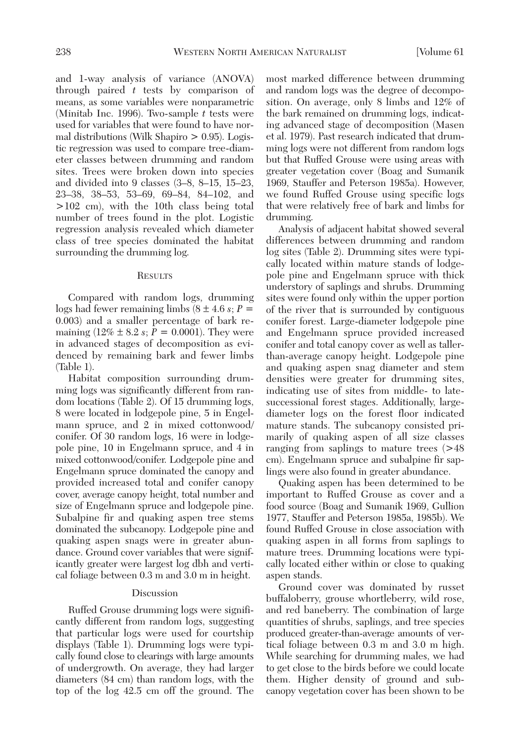and 1-way analysis of variance (ANOVA) through paired *t* tests by comparison of means, as some variables were nonparametric (Minitab Inc. 1996). Two-sample *t* tests were used for variables that were found to have normal distributions (Wilk Shapiro > 0.95). Logistic regression was used to compare tree-diameter classes between drumming and random sites. Trees were broken down into species and divided into 9 classes (3–8, 8–15, 15–23, 23–38, 38–53, 53–69, 69–84, 84–102, and >102 cm), with the 10th class being total number of trees found in the plot. Logistic regression analysis revealed which diameter class of tree species dominated the habitat surrounding the drumming log.

#### **RESULTS**

Compared with random logs, drumming logs had fewer remaining limbs (8 ± 4.6 *s*; *P* = 0.003) and a smaller percentage of bark remaining  $(12\% \pm 8.2 \text{ s}; P = 0.0001)$ . They were in advanced stages of decomposition as evidenced by remaining bark and fewer limbs (Table 1).

Habitat composition surrounding drumming logs was significantly different from random locations (Table 2). Of 15 drumming logs, 8 were located in lodgepole pine, 5 in Engelmann spruce, and 2 in mixed cottonwood/ conifer. Of 30 random logs, 16 were in lodgepole pine, 10 in Engelmann spruce, and 4 in mixed cottonwood/conifer. Lodgepole pine and Engelmann spruce dominated the canopy and provided increased total and conifer canopy cover, average canopy height, total number and size of Engelmann spruce and lodgepole pine. Subalpine fir and quaking aspen tree stems dominated the subcanopy. Lodgepole pine and quaking aspen snags were in greater abundance. Ground cover variables that were significantly greater were largest log dbh and vertical foliage between 0.3 m and 3.0 m in height.

## **Discussion**

Ruffed Grouse drumming logs were significantly different from random logs, suggesting that particular logs were used for courtship displays (Table 1). Drumming logs were typically found close to clearings with large amounts of undergrowth. On average, they had larger diameters (84 cm) than random logs, with the top of the log 42.5 cm off the ground. The most marked difference between drumming and random logs was the degree of decomposition. On average, only 8 limbs and 12% of the bark remained on drumming logs, indicating advanced stage of decomposition (Masen et al. 1979). Past research indicated that drumming logs were not different from random logs but that Ruffed Grouse were using areas with greater vegetation cover (Boag and Sumanik 1969, Stauffer and Peterson 1985a). However, we found Ruffed Grouse using specific logs that were relatively free of bark and limbs for drumming.

Analysis of adjacent habitat showed several differences between drumming and random log sites (Table 2). Drumming sites were typically located within mature stands of lodgepole pine and Engelmann spruce with thick understory of saplings and shrubs. Drumming sites were found only within the upper portion of the river that is surrounded by contiguous conifer forest. Large-diameter lodgepole pine and Engelmann spruce provided increased conifer and total canopy cover as well as tallerthan-average canopy height. Lodgepole pine and quaking aspen snag diameter and stem densities were greater for drumming sites, indicating use of sites from middle- to latesuccessional forest stages. Additionally, largediameter logs on the forest floor indicated mature stands. The subcanopy consisted primarily of quaking aspen of all size classes ranging from saplings to mature trees (>48 cm). Engelmann spruce and subalpine fir saplings were also found in greater abundance.

Quaking aspen has been determined to be important to Ruffed Grouse as cover and a food source (Boag and Sumanik 1969, Gullion 1977, Stauffer and Peterson 1985a, 1985b). We found Ruffed Grouse in close association with quaking aspen in all forms from saplings to mature trees. Drumming locations were typically located either within or close to quaking aspen stands.

Ground cover was dominated by russet buffaloberry, grouse whortleberry, wild rose, and red baneberry. The combination of large quantities of shrubs, saplings, and tree species produced greater-than-average amounts of vertical foliage between 0.3 m and 3.0 m high. While searching for drumming males, we had to get close to the birds before we could locate them. Higher density of ground and subcanopy vegetation cover has been shown to be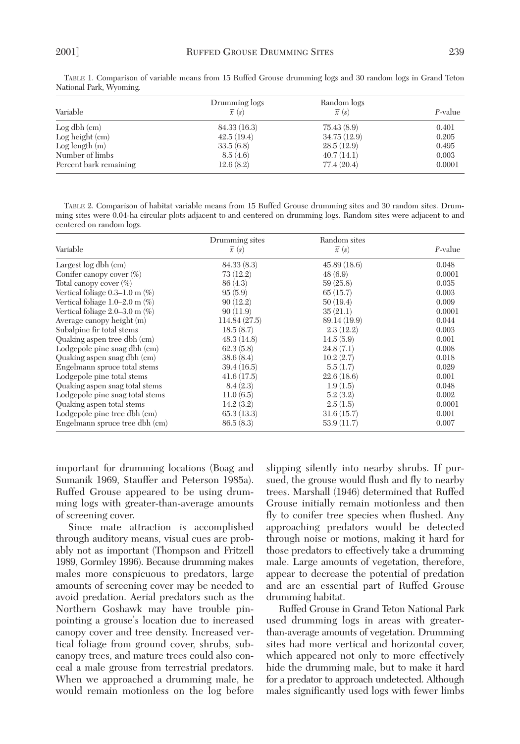| Variable               | Drumming logs<br>$\bar{x}(s)$ | Random logs<br>$\bar{x}(s)$ | P-value |
|------------------------|-------------------------------|-----------------------------|---------|
| $Log dbh$ (cm)         | 84.33(16.3)                   | 75.43(8.9)                  | 0.401   |
| Log height (cm)        | 42.5(19.4)                    | 34.75(12.9)                 | 0.205   |
| Log length $(m)$       | 33.5(6.8)                     | 28.5(12.9)                  | 0.495   |
| Number of limbs        | 8.5(4.6)                      | 40.7(14.1)                  | 0.003   |
| Percent bark remaining | 12.6(8.2)                     | 77.4 (20.4)                 | 0.0001  |

TABLE 1. Comparison of variable means from 15 Ruffed Grouse drumming logs and 30 random logs in Grand Teton National Park, Wyoming.

TABLE 2. Comparison of habitat variable means from 15 Ruffed Grouse drumming sites and 30 random sites. Drumming sites were 0.04-ha circular plots adjacent to and centered on drumming logs. Random sites were adjacent to and centered on random logs.

| Variable                            | Drumming sites<br>$\bar{x}(s)$ | Random sites<br>$\bar{x}(s)$ |         |  |
|-------------------------------------|--------------------------------|------------------------------|---------|--|
|                                     |                                |                              | P-value |  |
| Largest $log dbh$ (cm)              | 84.33(8.3)                     | 45.89(18.6)                  | 0.048   |  |
| Conifer can opy cover $(\%)$        | 73(12.2)                       | 48(6.9)                      | 0.0001  |  |
| Total can opy cover $(\%)$          | 86(4.3)                        | 59(25.8)                     | 0.035   |  |
| Vertical foliage $0.3-1.0$ m $(\%)$ | 95(5.9)                        | 65(15.7)                     | 0.003   |  |
| Vertical foliage $1.0-2.0$ m $(\%)$ | 90(12.2)                       | 50(19.4)                     | 0.009   |  |
| Vertical foliage $2.0-3.0$ m $(\%)$ | 90(11.9)                       | 35(21.1)                     | 0.0001  |  |
| Average canopy height (m)           | 114.84(27.5)                   | 89.14 (19.9)                 | 0.044   |  |
| Subalpine fir total stems           | 18.5(8.7)                      | 2.3(12.2)                    | 0.003   |  |
| Quaking aspen tree dbh (cm)         | 48.3(14.8)                     | 14.5(5.9)                    | 0.001   |  |
| Lodgepole pine snag dbh (cm)        | 62.3(5.8)                      | 24.8(7.1)                    | 0.008   |  |
| Quaking aspen snag dbh (cm)         | 38.6(8.4)                      | 10.2(2.7)                    | 0.018   |  |
| Engelmann spruce total stems        | 39.4(16.5)                     | 5.5(1.7)                     | 0.029   |  |
| Lodgepole pine total stems          | 41.6(17.5)                     | 22.6(18.6)                   | 0.001   |  |
| Quaking aspen snag total stems      | 8.4(2.3)                       | 1.9(1.5)                     | 0.048   |  |
| Lodgepole pine snag total stems     | 11.0(6.5)                      | 5.2(3.2)                     | 0.002   |  |
| Quaking aspen total stems           | 14.2(3.2)                      | 2.5(1.5)                     | 0.0001  |  |
| Lodgepole pine tree dbh (cm)        | 65.3(13.3)                     | 31.6(15.7)                   | 0.001   |  |
| Engelmann spruce tree dbh (cm)      | 86.5(8.3)                      | 53.9(11.7)                   | 0.007   |  |

important for drumming locations (Boag and Sumanik 1969, Stauffer and Peterson 1985a). Ruffed Grouse appeared to be using drumming logs with greater-than-average amounts of screening cover.

Since mate attraction is accomplished through auditory means, visual cues are probably not as important (Thompson and Fritzell 1989, Gormley 1996). Because drumming makes males more conspicuous to predators, large amounts of screening cover may be needed to avoid predation. Aerial predators such as the Northern Goshawk may have trouble pinpointing a grouse's location due to increased canopy cover and tree density. Increased vertical foliage from ground cover, shrubs, subcanopy trees, and mature trees could also conceal a male grouse from terrestrial predators. When we approached a drumming male, he would remain motionless on the log before slipping silently into nearby shrubs. If pursued, the grouse would flush and fly to nearby trees. Marshall (1946) determined that Ruffed Grouse initially remain motionless and then fly to conifer tree species when flushed. Any approaching predators would be detected through noise or motions, making it hard for those predators to effectively take a drumming male. Large amounts of vegetation, therefore, appear to decrease the potential of predation and are an essential part of Ruffed Grouse drumming habitat.

Ruffed Grouse in Grand Teton National Park used drumming logs in areas with greaterthan-average amounts of vegetation. Drumming sites had more vertical and horizontal cover, which appeared not only to more effectively hide the drumming male, but to make it hard for a predator to approach undetected. Although males significantly used logs with fewer limbs